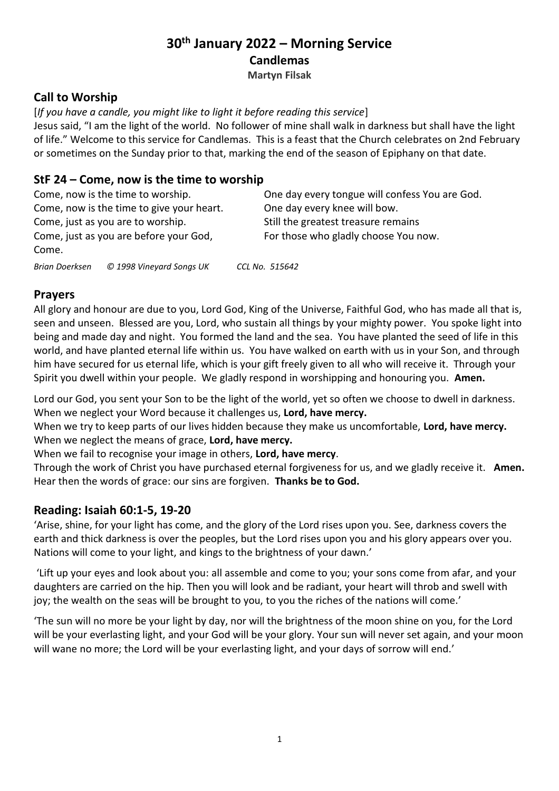# **30th January 2022 – Morning Service Candlemas**

**Martyn Filsak**

### **Call to Worship**

[*If you have a candle, you might like to light it before reading this service*]

Jesus said, "I am the light of the world. No follower of mine shall walk in darkness but shall have the light of life." Welcome to this service for Candlemas. This is a feast that the Church celebrates on 2nd February or sometimes on the Sunday prior to that, marking the end of the season of Epiphany on that date.

# **StF 24 – Come, now is the time to worship**

| Come, now is the time to worship.<br>Come, now is the time to give your heart.<br>Come, just as you are to worship.<br>Come, just as you are before your God, | One day every tongue will confess You are God.<br>One day every knee will bow.<br>Still the greatest treasure remains<br>For those who gladly choose You now. |                                                 |                       |
|---------------------------------------------------------------------------------------------------------------------------------------------------------------|---------------------------------------------------------------------------------------------------------------------------------------------------------------|-------------------------------------------------|-----------------------|
|                                                                                                                                                               |                                                                                                                                                               | Come.                                           |                       |
|                                                                                                                                                               |                                                                                                                                                               | $\odot$ 1000 $\mu$ and $\mu$<br>Daisa Desalissa | $C C L M = T A C C A$ |

*Brian Doerksen © 1998 Vineyard Songs UK CCL No. 515642*

# **Prayers**

All glory and honour are due to you, Lord God, King of the Universe, Faithful God, who has made all that is, seen and unseen. Blessed are you, Lord, who sustain all things by your mighty power. You spoke light into being and made day and night. You formed the land and the sea. You have planted the seed of life in this world, and have planted eternal life within us. You have walked on earth with us in your Son, and through him have secured for us eternal life, which is your gift freely given to all who will receive it. Through your Spirit you dwell within your people. We gladly respond in worshipping and honouring you. **Amen.**

Lord our God, you sent your Son to be the light of the world, yet so often we choose to dwell in darkness. When we neglect your Word because it challenges us, **Lord, have mercy.**

When we try to keep parts of our lives hidden because they make us uncomfortable, **Lord, have mercy.** When we neglect the means of grace, **Lord, have mercy.**

When we fail to recognise your image in others, **Lord, have mercy**.

Through the work of Christ you have purchased eternal forgiveness for us, and we gladly receive it. **Amen.** Hear then the words of grace: our sins are forgiven. **Thanks be to God.**

# **Reading: Isaiah 60:1-5, 19-20**

'Arise, shine, for your light has come, and the glory of the Lord rises upon you. See, darkness covers the earth and thick darkness is over the peoples, but the Lord rises upon you and his glory appears over you. Nations will come to your light, and kings to the brightness of your dawn.'

'Lift up your eyes and look about you: all assemble and come to you; your sons come from afar, and your daughters are carried on the hip. Then you will look and be radiant, your heart will throb and swell with joy; the wealth on the seas will be brought to you, to you the riches of the nations will come.'

'The sun will no more be your light by day, nor will the brightness of the moon shine on you, for the Lord will be your everlasting light, and your God will be your glory. Your sun will never set again, and your moon will wane no more; the Lord will be your everlasting light, and your days of sorrow will end.'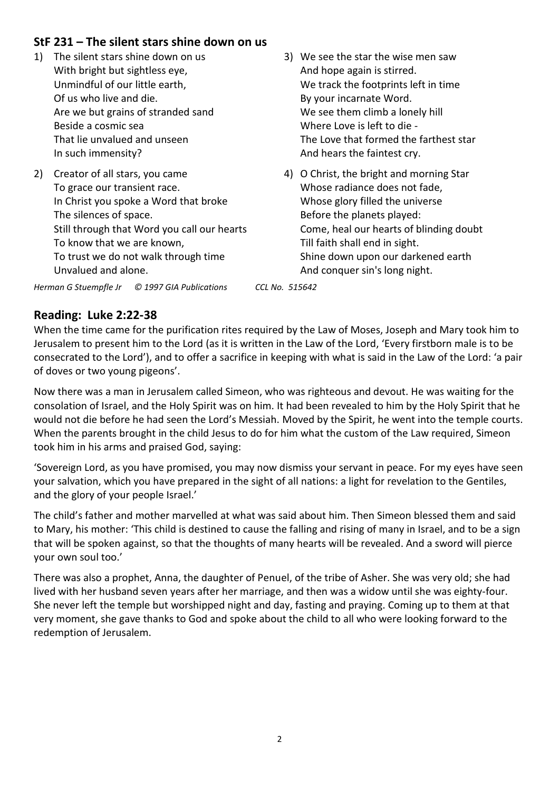### **StF 231 – The silent stars shine down on us**

- 1) The silent stars shine down on us With bright but sightless eye, Unmindful of our little earth, Of us who live and die. Are we but grains of stranded sand Beside a cosmic sea That lie unvalued and unseen In such immensity?
- 2) Creator of all stars, you came To grace our transient race. In Christ you spoke a Word that broke The silences of space. Still through that Word you call our hearts To know that we are known, To trust we do not walk through time Unvalued and alone.
- 3) We see the star the wise men saw And hope again is stirred. We track the footprints left in time By your incarnate Word. We see them climb a lonely hill Where Love is left to die - The Love that formed the farthest star And hears the faintest cry.
- 4) O Christ, the bright and morning Star Whose radiance does not fade, Whose glory filled the universe Before the planets played: Come, heal our hearts of blinding doubt Till faith shall end in sight. Shine down upon our darkened earth And conquer sin's long night.

*Herman G Stuempfle Jr © 1997 GIA Publications CCL No. 515642*

#### **Reading: Luke 2:22-38**

When the time came for the purification rites required by the Law of Moses, Joseph and Mary took him to Jerusalem to present him to the Lord (as it is written in the Law of the Lord, 'Every firstborn male is to be consecrated to the Lord'), and to offer a sacrifice in keeping with what is said in the Law of the Lord: 'a pair of doves or two young pigeons'.

Now there was a man in Jerusalem called Simeon, who was righteous and devout. He was waiting for the consolation of Israel, and the Holy Spirit was on him. It had been revealed to him by the Holy Spirit that he would not die before he had seen the Lord's Messiah. Moved by the Spirit, he went into the temple courts. When the parents brought in the child Jesus to do for him what the custom of the Law required, Simeon took him in his arms and praised God, saying:

'Sovereign Lord, as you have promised, you may now dismiss your servant in peace. For my eyes have seen your salvation, which you have prepared in the sight of all nations: a light for revelation to the Gentiles, and the glory of your people Israel.'

The child's father and mother marvelled at what was said about him. Then Simeon blessed them and said to Mary, his mother: 'This child is destined to cause the falling and rising of many in Israel, and to be a sign that will be spoken against, so that the thoughts of many hearts will be revealed. And a sword will pierce your own soul too.'

There was also a prophet, Anna, the daughter of Penuel, of the tribe of Asher. She was very old; she had lived with her husband seven years after her marriage, and then was a widow until she was eighty-four. She never left the temple but worshipped night and day, fasting and praying. Coming up to them at that very moment, she gave thanks to God and spoke about the child to all who were looking forward to the redemption of Jerusalem.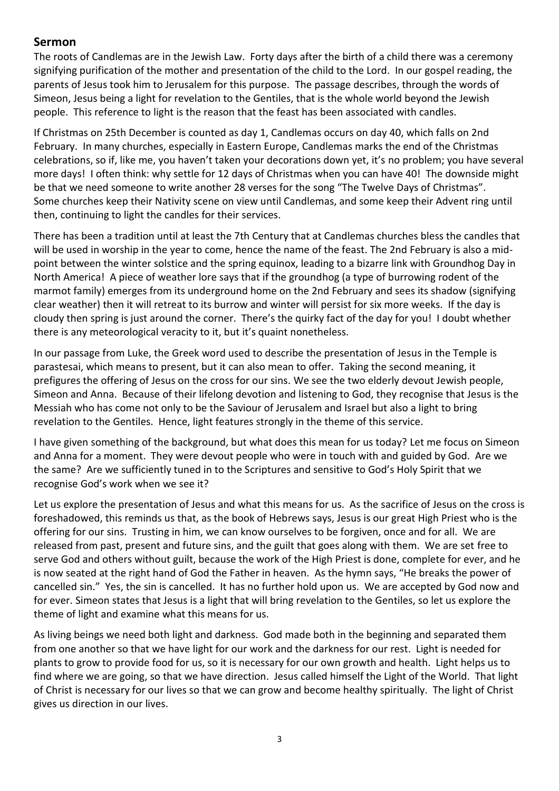#### **Sermon**

The roots of Candlemas are in the Jewish Law. Forty days after the birth of a child there was a ceremony signifying purification of the mother and presentation of the child to the Lord. In our gospel reading, the parents of Jesus took him to Jerusalem for this purpose. The passage describes, through the words of Simeon, Jesus being a light for revelation to the Gentiles, that is the whole world beyond the Jewish people. This reference to light is the reason that the feast has been associated with candles.

If Christmas on 25th December is counted as day 1, Candlemas occurs on day 40, which falls on 2nd February. In many churches, especially in Eastern Europe, Candlemas marks the end of the Christmas celebrations, so if, like me, you haven't taken your decorations down yet, it's no problem; you have several more days! I often think: why settle for 12 days of Christmas when you can have 40! The downside might be that we need someone to write another 28 verses for the song "The Twelve Days of Christmas". Some churches keep their Nativity scene on view until Candlemas, and some keep their Advent ring until then, continuing to light the candles for their services.

There has been a tradition until at least the 7th Century that at Candlemas churches bless the candles that will be used in worship in the year to come, hence the name of the feast. The 2nd February is also a midpoint between the winter solstice and the spring equinox, leading to a bizarre link with Groundhog Day in North America! A piece of weather lore says that if the groundhog (a type of burrowing rodent of the marmot family) emerges from its underground home on the 2nd February and sees its shadow (signifying clear weather) then it will retreat to its burrow and winter will persist for six more weeks. If the day is cloudy then spring is just around the corner. There's the quirky fact of the day for you! I doubt whether there is any meteorological veracity to it, but it's quaint nonetheless.

In our passage from Luke, the Greek word used to describe the presentation of Jesus in the Temple is parastesai, which means to present, but it can also mean to offer. Taking the second meaning, it prefigures the offering of Jesus on the cross for our sins. We see the two elderly devout Jewish people, Simeon and Anna. Because of their lifelong devotion and listening to God, they recognise that Jesus is the Messiah who has come not only to be the Saviour of Jerusalem and Israel but also a light to bring revelation to the Gentiles. Hence, light features strongly in the theme of this service.

I have given something of the background, but what does this mean for us today? Let me focus on Simeon and Anna for a moment. They were devout people who were in touch with and guided by God. Are we the same? Are we sufficiently tuned in to the Scriptures and sensitive to God's Holy Spirit that we recognise God's work when we see it?

Let us explore the presentation of Jesus and what this means for us. As the sacrifice of Jesus on the cross is foreshadowed, this reminds us that, as the book of Hebrews says, Jesus is our great High Priest who is the offering for our sins. Trusting in him, we can know ourselves to be forgiven, once and for all. We are released from past, present and future sins, and the guilt that goes along with them. We are set free to serve God and others without guilt, because the work of the High Priest is done, complete for ever, and he is now seated at the right hand of God the Father in heaven. As the hymn says, "He breaks the power of cancelled sin." Yes, the sin is cancelled. It has no further hold upon us. We are accepted by God now and for ever. Simeon states that Jesus is a light that will bring revelation to the Gentiles, so let us explore the theme of light and examine what this means for us.

As living beings we need both light and darkness. God made both in the beginning and separated them from one another so that we have light for our work and the darkness for our rest. Light is needed for plants to grow to provide food for us, so it is necessary for our own growth and health. Light helps us to find where we are going, so that we have direction. Jesus called himself the Light of the World. That light of Christ is necessary for our lives so that we can grow and become healthy spiritually. The light of Christ gives us direction in our lives.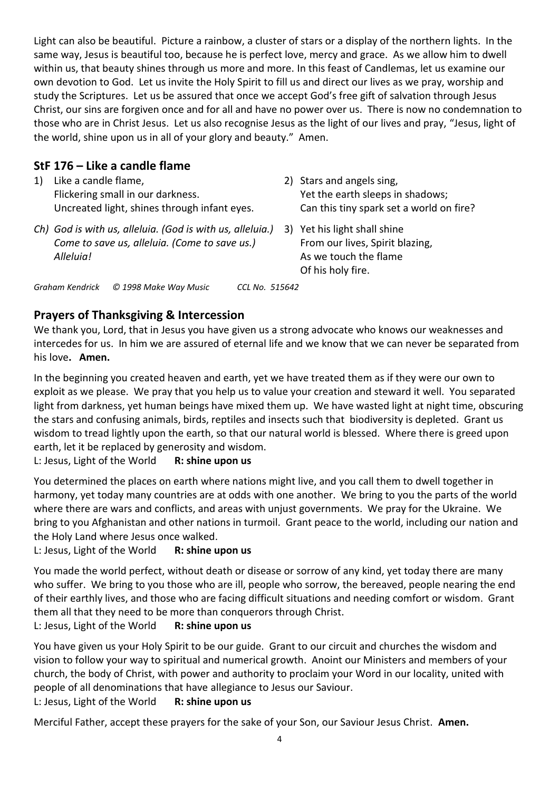Light can also be beautiful. Picture a rainbow, a cluster of stars or a display of the northern lights. In the same way, Jesus is beautiful too, because he is perfect love, mercy and grace. As we allow him to dwell within us, that beauty shines through us more and more. In this feast of Candlemas, let us examine our own devotion to God. Let us invite the Holy Spirit to fill us and direct our lives as we pray, worship and study the Scriptures. Let us be assured that once we accept God's free gift of salvation through Jesus Christ, our sins are forgiven once and for all and have no power over us. There is now no condemnation to those who are in Christ Jesus. Let us also recognise Jesus as the light of our lives and pray, "Jesus, light of the world, shine upon us in all of your glory and beauty." Amen.

### **StF 176 – Like a candle flame**

1) Like a candle flame, Flickering small in our darkness. Uncreated light, shines through infant eyes.

- *Ch) God is with us, alleluia. (God is with us, alleluia.) Come to save us, alleluia. (Come to save us.) Alleluia!*
- 2) Stars and angels sing, Yet the earth sleeps in shadows; Can this tiny spark set a world on fire?
- 3) Yet his light shall shine From our lives, Spirit blazing, As we touch the flame Of his holy fire.

*Graham Kendrick © 1998 Make Way Music CCL No. 515642*

#### **Prayers of Thanksgiving & Intercession**

We thank you, Lord, that in Jesus you have given us a strong advocate who knows our weaknesses and intercedes for us. In him we are assured of eternal life and we know that we can never be separated from his love**. Amen.**

In the beginning you created heaven and earth, yet we have treated them as if they were our own to exploit as we please. We pray that you help us to value your creation and steward it well. You separated light from darkness, yet human beings have mixed them up. We have wasted light at night time, obscuring the stars and confusing animals, birds, reptiles and insects such that biodiversity is depleted. Grant us wisdom to tread lightly upon the earth, so that our natural world is blessed. Where there is greed upon earth, let it be replaced by generosity and wisdom.

L: Jesus, Light of the World **R: shine upon us**

You determined the places on earth where nations might live, and you call them to dwell together in harmony, yet today many countries are at odds with one another. We bring to you the parts of the world where there are wars and conflicts, and areas with unjust governments. We pray for the Ukraine. We bring to you Afghanistan and other nations in turmoil. Grant peace to the world, including our nation and the Holy Land where Jesus once walked.

L: Jesus, Light of the World **R: shine upon us**

You made the world perfect, without death or disease or sorrow of any kind, yet today there are many who suffer. We bring to you those who are ill, people who sorrow, the bereaved, people nearing the end of their earthly lives, and those who are facing difficult situations and needing comfort or wisdom. Grant them all that they need to be more than conquerors through Christ.

L: Jesus, Light of the World **R: shine upon us**

You have given us your Holy Spirit to be our guide. Grant to our circuit and churches the wisdom and vision to follow your way to spiritual and numerical growth. Anoint our Ministers and members of your church, the body of Christ, with power and authority to proclaim your Word in our locality, united with people of all denominations that have allegiance to Jesus our Saviour.

L: Jesus, Light of the World **R: shine upon us**

Merciful Father, accept these prayers for the sake of your Son, our Saviour Jesus Christ. **Amen.**